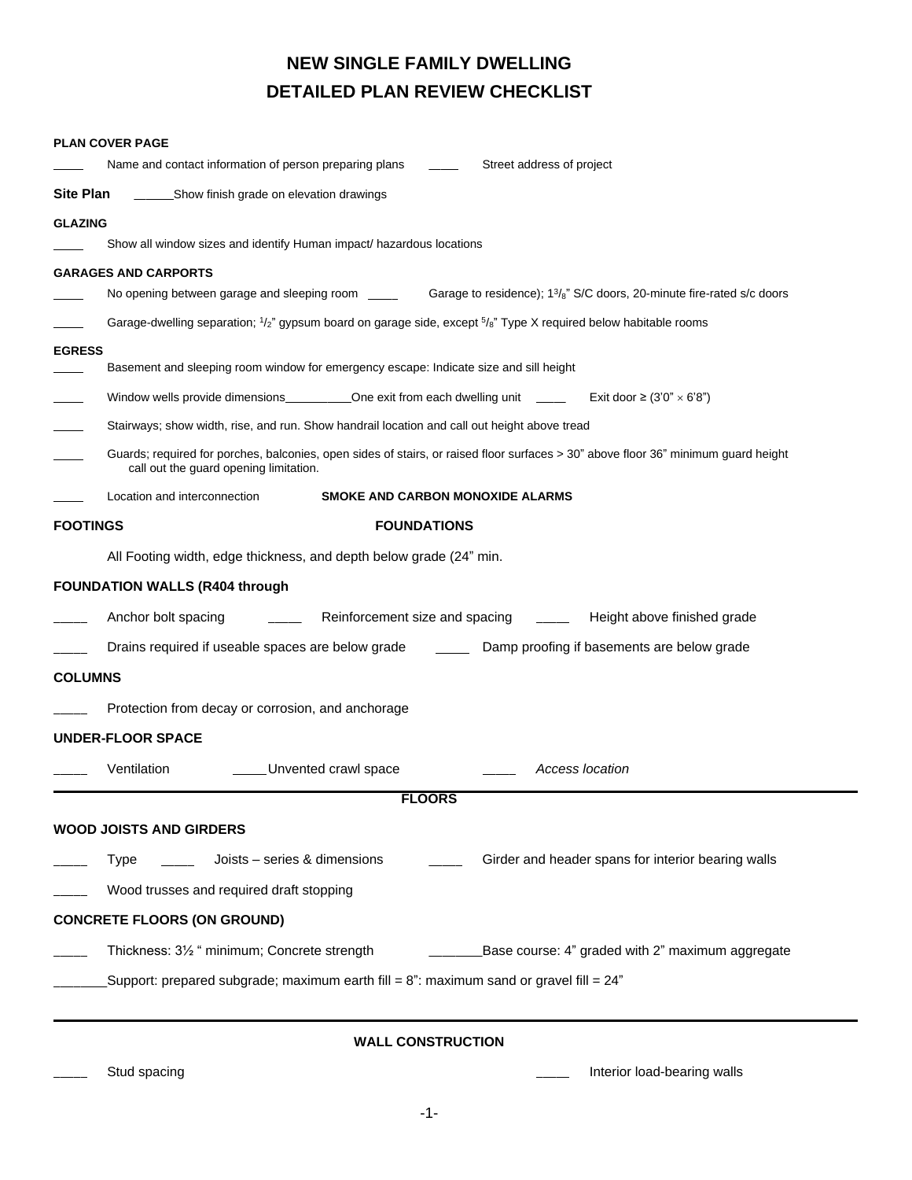## **NEW SINGLE FAMILY DWELLING DETAILED PLAN REVIEW CHECKLIST**

|                          | <b>PLAN COVER PAGE</b>                                                                                                                         |                                         |                                                                                                                                                       |  |  |  |  |  |  |  |  |
|--------------------------|------------------------------------------------------------------------------------------------------------------------------------------------|-----------------------------------------|-------------------------------------------------------------------------------------------------------------------------------------------------------|--|--|--|--|--|--|--|--|
|                          | Name and contact information of person preparing plans                                                                                         |                                         | Street address of project                                                                                                                             |  |  |  |  |  |  |  |  |
| Site Plan                | ______________Show finish grade on elevation drawings                                                                                          |                                         |                                                                                                                                                       |  |  |  |  |  |  |  |  |
| <b>GLAZING</b>           |                                                                                                                                                |                                         |                                                                                                                                                       |  |  |  |  |  |  |  |  |
|                          | Show all window sizes and identify Human impact/ hazardous locations                                                                           |                                         |                                                                                                                                                       |  |  |  |  |  |  |  |  |
|                          | <b>GARAGES AND CARPORTS</b>                                                                                                                    |                                         |                                                                                                                                                       |  |  |  |  |  |  |  |  |
|                          | No opening between garage and sleeping room<br>Garage to residence); 1 <sup>3</sup> / <sub>8</sub> " S/C doors, 20-minute fire-rated s/c doors |                                         |                                                                                                                                                       |  |  |  |  |  |  |  |  |
|                          |                                                                                                                                                |                                         | Garage-dwelling separation; 1/ <sub>2</sub> " gypsum board on garage side, except <sup>5</sup> / <sub>8</sub> " Type X required below habitable rooms |  |  |  |  |  |  |  |  |
| <b>EGRESS</b>            | Basement and sleeping room window for emergency escape: Indicate size and sill height                                                          |                                         |                                                                                                                                                       |  |  |  |  |  |  |  |  |
|                          | Window wells provide dimensions_____________One exit from each dwelling unit _______ Exit door $\geq$ (3'0" $\times$ 6'8")                     |                                         |                                                                                                                                                       |  |  |  |  |  |  |  |  |
|                          | Stairways; show width, rise, and run. Show handrail location and call out height above tread                                                   |                                         |                                                                                                                                                       |  |  |  |  |  |  |  |  |
|                          | call out the guard opening limitation.                                                                                                         |                                         | Guards; required for porches, balconies, open sides of stairs, or raised floor surfaces > 30" above floor 36" minimum guard height                    |  |  |  |  |  |  |  |  |
|                          | Location and interconnection                                                                                                                   | <b>SMOKE AND CARBON MONOXIDE ALARMS</b> |                                                                                                                                                       |  |  |  |  |  |  |  |  |
| <b>FOOTINGS</b>          |                                                                                                                                                | <b>FOUNDATIONS</b>                      |                                                                                                                                                       |  |  |  |  |  |  |  |  |
|                          | All Footing width, edge thickness, and depth below grade (24" min.                                                                             |                                         |                                                                                                                                                       |  |  |  |  |  |  |  |  |
|                          | <b>FOUNDATION WALLS (R404 through</b>                                                                                                          |                                         |                                                                                                                                                       |  |  |  |  |  |  |  |  |
|                          | Anchor bolt spacing                                                                                                                            | Reinforcement size and spacing          | Height above finished grade                                                                                                                           |  |  |  |  |  |  |  |  |
|                          |                                                                                                                                                |                                         | Drains required if useable spaces are below grade __________ Damp proofing if basements are below grade                                               |  |  |  |  |  |  |  |  |
| <b>COLUMNS</b>           |                                                                                                                                                |                                         |                                                                                                                                                       |  |  |  |  |  |  |  |  |
|                          | Protection from decay or corrosion, and anchorage                                                                                              |                                         |                                                                                                                                                       |  |  |  |  |  |  |  |  |
|                          | <b>UNDER-FLOOR SPACE</b>                                                                                                                       |                                         |                                                                                                                                                       |  |  |  |  |  |  |  |  |
|                          | Ventilation                                                                                                                                    | Unvented crawl space                    | Access location                                                                                                                                       |  |  |  |  |  |  |  |  |
|                          |                                                                                                                                                | <b>FLOORS</b>                           |                                                                                                                                                       |  |  |  |  |  |  |  |  |
|                          | <b>WOOD JOISTS AND GIRDERS</b>                                                                                                                 |                                         |                                                                                                                                                       |  |  |  |  |  |  |  |  |
|                          | Joists - series & dimensions<br><b>Type</b>                                                                                                    |                                         | Girder and header spans for interior bearing walls                                                                                                    |  |  |  |  |  |  |  |  |
|                          | Wood trusses and required draft stopping                                                                                                       |                                         |                                                                                                                                                       |  |  |  |  |  |  |  |  |
|                          | <b>CONCRETE FLOORS (ON GROUND)</b>                                                                                                             |                                         |                                                                                                                                                       |  |  |  |  |  |  |  |  |
|                          | Thickness: 31/2 " minimum; Concrete strength<br>Base course: 4" graded with 2" maximum aggregate                                               |                                         |                                                                                                                                                       |  |  |  |  |  |  |  |  |
|                          | Support: prepared subgrade; maximum earth fill = $8$ ": maximum sand or gravel fill = $24$ ".                                                  |                                         |                                                                                                                                                       |  |  |  |  |  |  |  |  |
| <b>WALL CONSTRUCTION</b> |                                                                                                                                                |                                         |                                                                                                                                                       |  |  |  |  |  |  |  |  |
|                          | Stud spacing                                                                                                                                   |                                         | Interior load-bearing walls                                                                                                                           |  |  |  |  |  |  |  |  |